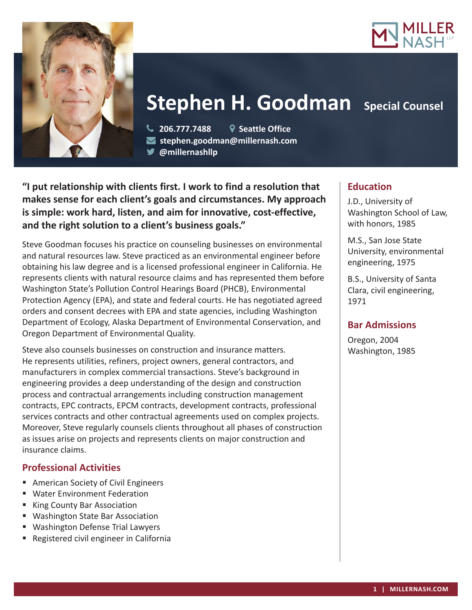



# **Stephen H. Goodman** Special Counsel

 **206.777.7488 Seattle Office stephen.goodman@millernash.com @millernashllp** 

**"I put relationship with clients first. I work to find a resolution that makes sense for each client's goals and circumstances. My approach is simple: work hard, listen, and aim for innovative, cost-effective, and the right solution to a client's business goals."**

Steve Goodman focuses his practice on counseling businesses on environmental and natural resources law. Steve practiced as an environmental engineer before obtaining his law degree and is a licensed professional engineer in California. He represents clients with natural resource claims and has represented them before Washington State's Pollution Control Hearings Board (PHCB), Environmental Protection Agency (EPA), and state and federal courts. He has negotiated agreed orders and consent decrees with EPA and state agencies, including Washington Department of Ecology, Alaska Department of Environmental Conservation, and Oregon Department of Environmental Quality.

Steve also counsels businesses on construction and insurance matters. He represents utilities, refiners, project owners, general contractors, and manufacturers in complex commercial transactions. Steve's background in engineering provides a deep understanding of the design and construction process and contractual arrangements including construction management contracts, EPC contracts, EPCM contracts, development contracts, professional services contracts and other contractual agreements used on complex projects. Moreover, Steve regularly counsels clients throughout all phases of construction as issues arise on projects and represents clients on major construction and insurance claims.

# **Professional Activities**

- American Society of Civil Engineers
- Water Environment Federation
- King County Bar Association
- Washington State Bar Association
- **Washington Defense Trial Lawyers**
- Registered civil engineer in California

### **Education**

J.D., University of Washington School of Law, with honors, 1985

M.S., San Jose State University, environmental engineering, 1975

B.S., University of Santa Clara, civil engineering, 1971

### **Bar Admissions**

Oregon, 2004 Washington, 1985